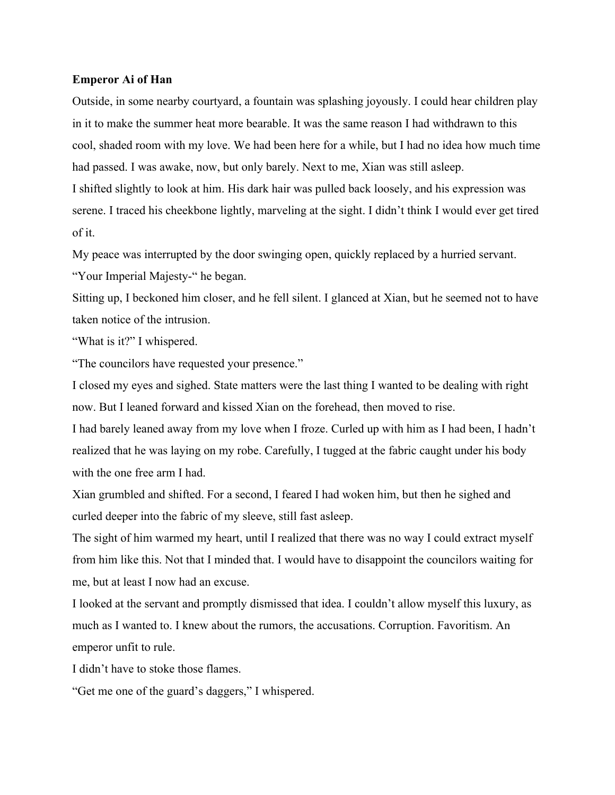## **Emperor Ai of Han**

Outside, in some nearby courtyard, a fountain was splashing joyously. I could hear children play in it to make the summer heat more bearable. It was the same reason I had withdrawn to this cool, shaded room with my love. We had been here for a while, but I had no idea how much time had passed. I was awake, now, but only barely. Next to me, Xian was still asleep. I shifted slightly to look at him. His dark hair was pulled back loosely, and his expression was serene. I traced his cheekbone lightly, marveling at the sight. I didn't think I would ever get tired

of it.

My peace was interrupted by the door swinging open, quickly replaced by a hurried servant.

"Your Imperial Majesty-" he began.

Sitting up, I beckoned him closer, and he fell silent. I glanced at Xian, but he seemed not to have taken notice of the intrusion.

"What is it?" I whispered.

"The councilors have requested your presence."

I closed my eyes and sighed. State matters were the last thing I wanted to be dealing with right now. But I leaned forward and kissed Xian on the forehead, then moved to rise.

I had barely leaned away from my love when I froze. Curled up with him as I had been, I hadn't realized that he was laying on my robe. Carefully, I tugged at the fabric caught under his body with the one free arm I had.

Xian grumbled and shifted. For a second, I feared I had woken him, but then he sighed and curled deeper into the fabric of my sleeve, still fast asleep.

The sight of him warmed my heart, until I realized that there was no way I could extract myself from him like this. Not that I minded that. I would have to disappoint the councilors waiting for me, but at least I now had an excuse.

I looked at the servant and promptly dismissed that idea. I couldn't allow myself this luxury, as much as I wanted to. I knew about the rumors, the accusations. Corruption. Favoritism. An emperor unfit to rule.

I didn't have to stoke those flames.

"Get me one of the guard's daggers," I whispered.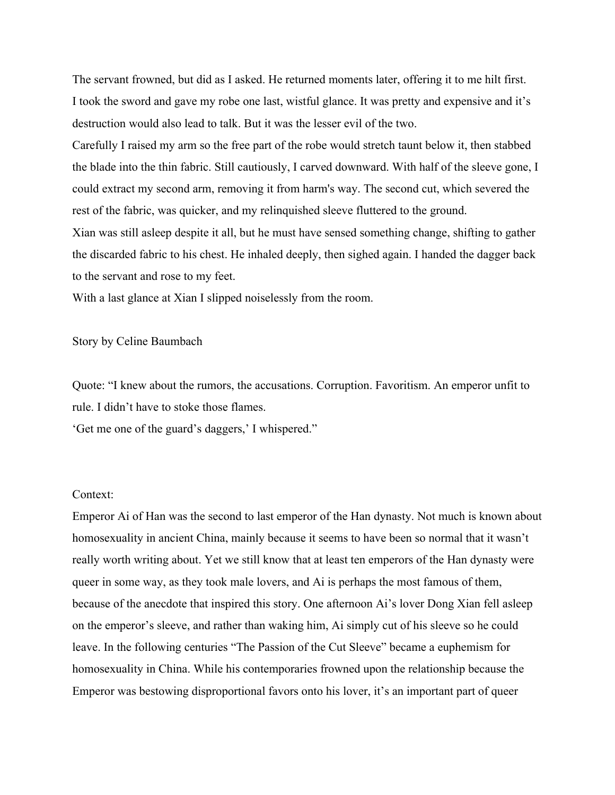The servant frowned, but did as I asked. He returned moments later, offering it to me hilt first. I took the sword and gave my robe one last, wistful glance. It was pretty and expensive and it's destruction would also lead to talk. But it was the lesser evil of the two.

Carefully I raised my arm so the free part of the robe would stretch taunt below it, then stabbed the blade into the thin fabric. Still cautiously, I carved downward. With half of the sleeve gone, I could extract my second arm, removing it from harm's way. The second cut, which severed the rest of the fabric, was quicker, and my relinquished sleeve fluttered to the ground.

Xian was still asleep despite it all, but he must have sensed something change, shifting to gather the discarded fabric to his chest. He inhaled deeply, then sighed again. I handed the dagger back to the servant and rose to my feet.

With a last glance at Xian I slipped noiselessly from the room.

## Story by Celine Baumbach

Quote: "I knew about the rumors, the accusations. Corruption. Favoritism. An emperor unfit to rule. I didn't have to stoke those flames.

'Get me one of the guard's daggers,' I whispered."

## Context:

Emperor Ai of Han was the second to last emperor of the Han dynasty. Not much is known about homosexuality in ancient China, mainly because it seems to have been so normal that it wasn't really worth writing about. Yet we still know that at least ten emperors of the Han dynasty were queer in some way, as they took male lovers, and Ai is perhaps the most famous of them, because of the anecdote that inspired this story. One afternoon Ai's lover Dong Xian fell asleep on the emperor's sleeve, and rather than waking him, Ai simply cut of his sleeve so he could leave. In the following centuries "The Passion of the Cut Sleeve" became a euphemism for homosexuality in China. While his contemporaries frowned upon the relationship because the Emperor was bestowing disproportional favors onto his lover, it's an important part of queer